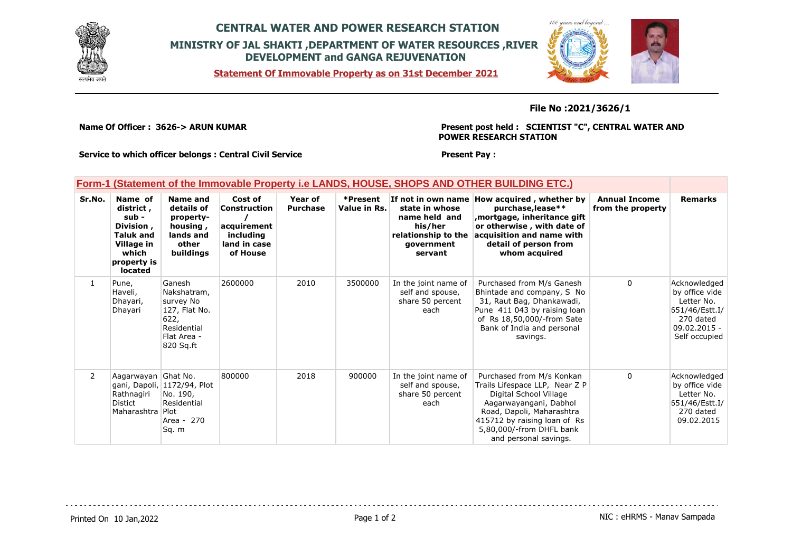

# **CENTRAL WATER AND POWER RESEARCH STATION MINISTRY OF JAL SHAKTI ,DEPARTMENT OF WATER RESOURCES ,RIVER DEVELOPMENT and GANGA REJUVENATION**

**Statement Of Immovable Property as on 31st December 2021**



**File No :2021/3626/1**

**Name Of Officer : 3626-> ARUN KUMAR** 

### **Present post held : SCIENTIST "C", CENTRAL WATER AND POWER RESEARCH STATION**

**Service to which officer belongs : Central Civil Service**

### **Present Pay :**

## **Form-1 (Statement of the Immovable Property i.e LANDS, HOUSE, SHOPS AND OTHER BUILDING ETC.)**

| Sr.No.       | Name of<br>district,<br>sub -<br>Division,<br><b>Taluk and</b><br>Village in<br>which<br>property is<br><b>located</b> | Name and<br>details of<br>property-<br>housing,<br>lands and<br>other<br>buildings                     | Cost of<br><b>Construction</b><br>acquirement<br>including<br>land in case<br>of House | Year of<br><b>Purchase</b> | *Present<br>Value in Rs. | If not in own name<br>state in whose<br>name held and<br>his/her<br>relationship to the<br>government<br>servant | How acquired, whether by<br>purchase, lease**<br>mortgage, inheritance gift,<br>or otherwise, with date of<br>acquisition and name with<br>detail of person from<br>whom acquired                                                 | <b>Annual Income</b><br>from the property | <b>Remarks</b>                                                                                                 |
|--------------|------------------------------------------------------------------------------------------------------------------------|--------------------------------------------------------------------------------------------------------|----------------------------------------------------------------------------------------|----------------------------|--------------------------|------------------------------------------------------------------------------------------------------------------|-----------------------------------------------------------------------------------------------------------------------------------------------------------------------------------------------------------------------------------|-------------------------------------------|----------------------------------------------------------------------------------------------------------------|
| $\mathbf{1}$ | Pune,<br>Haveli,<br>Dhayari,<br>Dhayari                                                                                | Ganesh<br>Nakshatram,<br>survey No<br>127, Flat No.<br>622,<br>Residential<br>Flat Area -<br>820 Sq.ft | 2600000                                                                                | 2010                       | 3500000                  | In the joint name of<br>self and spouse,<br>share 50 percent<br>each                                             | Purchased from M/s Ganesh<br>Bhintade and company, S No<br>31, Raut Bag, Dhankawadi,<br>Pune 411 043 by raising loan<br>of Rs 18,50,000/-from Sate<br>Bank of India and personal<br>savings.                                      | $\Omega$                                  | Acknowledged<br>by office vide<br>Letter No.<br>651/46/Estt.I/<br>270 dated<br>$09.02.2015 -$<br>Self occupied |
| $\mathbf{2}$ | Aagarwayan Ghat No.<br>Rathnagiri<br>Distict<br>Maharashtra Plot                                                       | gani, Dapoli, 1172/94, Plot<br>No. 190,<br>Residential<br>Area - 270<br>Sq. m                          | 800000                                                                                 | 2018                       | 900000                   | In the joint name of<br>self and spouse,<br>share 50 percent<br>each                                             | Purchased from M/s Konkan<br>Trails Lifespace LLP, Near Z P<br>Digital School Village<br>Aagarwayangani, Dabhol<br>Road, Dapoli, Maharashtra<br>415712 by raising loan of Rs<br>5,80,000/-from DHFL bank<br>and personal savings. | $\mathbf{0}$                              | Acknowledged<br>by office vide<br>Letter No.<br>651/46/Estt.I/<br>270 dated<br>09.02.2015                      |

Printed On 10 Jan, 2022 **Page 1 of 2** Page 1 of 2 **Page 1 of 2** NIC : eHRMS - Manav Sampada